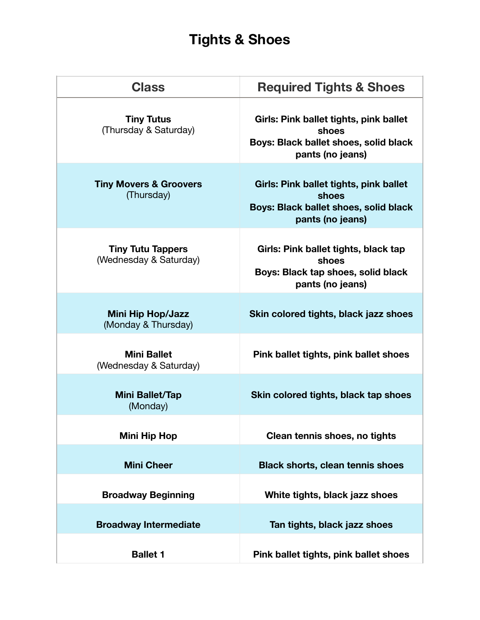## **Tights & Shoes**

| <b>Class</b>                                       | <b>Required Tights &amp; Shoes</b>                                                                           |
|----------------------------------------------------|--------------------------------------------------------------------------------------------------------------|
| <b>Tiny Tutus</b><br>(Thursday & Saturday)         | Girls: Pink ballet tights, pink ballet<br>shoes<br>Boys: Black ballet shoes, solid black<br>pants (no jeans) |
| <b>Tiny Movers &amp; Groovers</b><br>(Thursday)    | Girls: Pink ballet tights, pink ballet<br>shoes<br>Boys: Black ballet shoes, solid black<br>pants (no jeans) |
| <b>Tiny Tutu Tappers</b><br>(Wednesday & Saturday) | Girls: Pink ballet tights, black tap<br>shoes<br>Boys: Black tap shoes, solid black<br>pants (no jeans)      |
| <b>Mini Hip Hop/Jazz</b><br>(Monday & Thursday)    | Skin colored tights, black jazz shoes                                                                        |
| <b>Mini Ballet</b><br>(Wednesday & Saturday)       | Pink ballet tights, pink ballet shoes                                                                        |
| <b>Mini Ballet/Tap</b><br>(Monday)                 | Skin colored tights, black tap shoes                                                                         |
| <b>Mini Hip Hop</b>                                | Clean tennis shoes, no tights                                                                                |
| <b>Mini Cheer</b>                                  | <b>Black shorts, clean tennis shoes</b>                                                                      |
| <b>Broadway Beginning</b>                          | White tights, black jazz shoes                                                                               |
| <b>Broadway Intermediate</b>                       | Tan tights, black jazz shoes                                                                                 |
| <b>Ballet 1</b>                                    | Pink ballet tights, pink ballet shoes                                                                        |